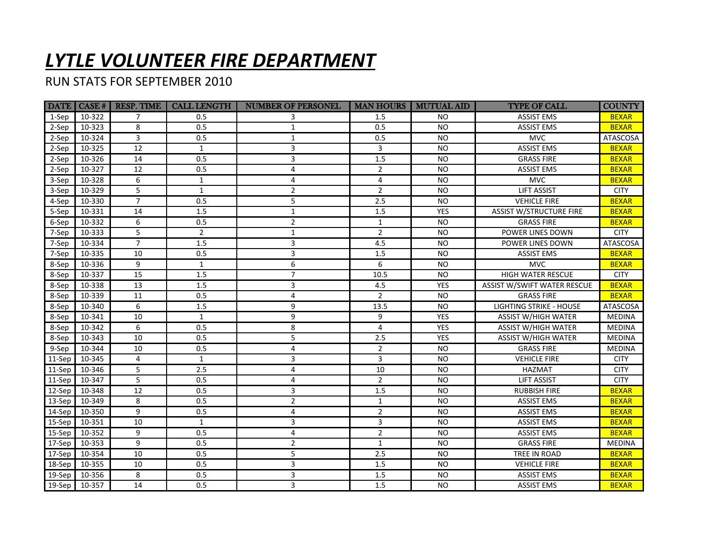## *LYTLE VOLUNTEER FIRE DEPARTMENT*

RUN STATS FOR SEPTEMBER 2010

|        | <b>DATE</b>   <b>CASE</b> # | <b>RESP. TIME</b> | <b>CALL LENGTH</b> | <b>NUMBER OF PERSONEL</b> | <b>MAN HOURS</b> | <b>MUTUAL AID</b> | <b>TYPE OF CALL</b>                | <b>COUNTY</b>   |
|--------|-----------------------------|-------------------|--------------------|---------------------------|------------------|-------------------|------------------------------------|-----------------|
| 1-Sep  | 10-322                      | $\overline{7}$    | 0.5                | 3                         | 1.5              | NO.               | <b>ASSIST EMS</b>                  | <b>BEXAR</b>    |
| 2-Sep  | 10-323                      | 8                 | 0.5                | $\mathbf{1}$              | 0.5              | <b>NO</b>         | <b>ASSIST EMS</b>                  | <b>BEXAR</b>    |
| 2-Sep  | 10-324                      | 3                 | 0.5                | $\mathbf{1}$              | 0.5              | <b>NO</b>         | <b>MVC</b>                         | <b>ATASCOSA</b> |
| 2-Sep  | 10-325                      | 12                | $\mathbf{1}$       | 3                         | $\overline{3}$   | <b>NO</b>         | <b>ASSIST EMS</b>                  | <b>BEXAR</b>    |
| 2-Sep  | 10-326                      | 14                | 0.5                | 3                         | 1.5              | <b>NO</b>         | <b>GRASS FIRE</b>                  | <b>BEXAR</b>    |
| 2-Sep  | 10-327                      | 12                | 0.5                | 4                         | $\overline{2}$   | <b>NO</b>         | <b>ASSIST EMS</b>                  | <b>BEXAR</b>    |
| 3-Sep  | 10-328                      | 6                 | $\mathbf{1}$       | 4                         | 4                | <b>NO</b>         | <b>MVC</b>                         | <b>BEXAR</b>    |
| 3-Sep  | 10-329                      | 5                 | $\mathbf{1}$       | $\overline{2}$            | $\overline{2}$   | <b>NO</b>         | <b>LIFT ASSIST</b>                 | <b>CITY</b>     |
| 4-Sep  | 10-330                      | $\overline{7}$    | 0.5                | 5                         | 2.5              | <b>NO</b>         | <b>VEHICLE FIRE</b>                | <b>BEXAR</b>    |
| 5-Sep  | 10-331                      | 14                | 1.5                | $\mathbf{1}$              | $1.5\,$          | <b>YES</b>        | <b>ASSIST W/STRUCTURE FIRE</b>     | <b>BEXAR</b>    |
| 6-Sep  | 10-332                      | 6                 | 0.5                | $\overline{2}$            | $\mathbf{1}$     | <b>NO</b>         | <b>GRASS FIRE</b>                  | <b>BEXAR</b>    |
| 7-Sep  | 10-333                      | 5                 | $\overline{2}$     | $\mathbf{1}$              | $\overline{2}$   | <b>NO</b>         | POWER LINES DOWN                   | <b>CITY</b>     |
| 7-Sep  | 10-334                      | $\overline{7}$    | 1.5                | 3                         | 4.5              | <b>NO</b>         | POWER LINES DOWN                   | <b>ATASCOSA</b> |
| 7-Sep  | 10-335                      | 10                | 0.5                | 3                         | $1.5\,$          | <b>NO</b>         | <b>ASSIST EMS</b>                  | <b>BEXAR</b>    |
| 8-Sep  | 10-336                      | 9                 | $\mathbf{1}$       | 6                         | 6                | <b>NO</b>         | <b>MVC</b>                         | <b>BEXAR</b>    |
| 8-Sep  | 10-337                      | 15                | 1.5                | $\overline{7}$            | 10.5             | <b>NO</b>         | <b>HIGH WATER RESCUE</b>           | <b>CITY</b>     |
| 8-Sep  | 10-338                      | 13                | 1.5                | 3                         | 4.5              | YES               | <b>ASSIST W/SWIFT WATER RESCUE</b> | <b>BEXAR</b>    |
| 8-Sep  | 10-339                      | 11                | 0.5                | 4                         | $\overline{2}$   | <b>NO</b>         | <b>GRASS FIRE</b>                  | <b>BEXAR</b>    |
| 8-Sep  | 10-340                      | 6                 | 1.5                | 9                         | 13.5             | <b>NO</b>         | <b>LIGHTING STRIKE - HOUSE</b>     | <b>ATASCOSA</b> |
| 8-Sep  | 10-341                      | 10                | $\mathbf{1}$       | 9                         | 9                | <b>YES</b>        | <b>ASSIST W/HIGH WATER</b>         | <b>MEDINA</b>   |
| 8-Sep  | 10-342                      | 6                 | 0.5                | 8                         | 4                | <b>YES</b>        | <b>ASSIST W/HIGH WATER</b>         | <b>MEDINA</b>   |
| 8-Sep  | 10-343                      | 10                | 0.5                | 5                         | 2.5              | <b>YES</b>        | <b>ASSIST W/HIGH WATER</b>         | <b>MEDINA</b>   |
| 9-Sep  | 10-344                      | 10                | 0.5                | 4                         | $\overline{2}$   | <b>NO</b>         | <b>GRASS FIRE</b>                  | <b>MEDINA</b>   |
| 11-Sep | 10-345                      | 4                 | $\mathbf{1}$       | 3                         | 3                | <b>NO</b>         | <b>VEHICLE FIRE</b>                | <b>CITY</b>     |
| 11-Sep | 10-346                      | 5                 | 2.5                | 4                         | 10               | <b>NO</b>         | HAZMAT                             | <b>CITY</b>     |
| 11-Sep | 10-347                      | 5                 | 0.5                | 4                         | $\overline{2}$   | <b>NO</b>         | <b>LIFT ASSIST</b>                 | <b>CITY</b>     |
| 12-Sep | 10-348                      | 12                | 0.5                | 3                         | 1.5              | <b>NO</b>         | <b>RUBBISH FIRE</b>                | <b>BEXAR</b>    |
| 13-Sep | 10-349                      | 8                 | 0.5                | $\overline{2}$            | $\mathbf{1}$     | <b>NO</b>         | <b>ASSIST EMS</b>                  | <b>BEXAR</b>    |
| 14-Sep | 10-350                      | 9                 | 0.5                | 4                         | $\overline{2}$   | <b>NO</b>         | <b>ASSIST EMS</b>                  | <b>BEXAR</b>    |
| 15-Sep | 10-351                      | 10                | $\mathbf{1}$       | 3                         | 3                | <b>NO</b>         | <b>ASSIST EMS</b>                  | <b>BEXAR</b>    |
| 15-Sep | 10-352                      | 9                 | 0.5                | 4                         | $\overline{2}$   | <b>NO</b>         | <b>ASSIST EMS</b>                  | <b>BEXAR</b>    |
| 17-Sep | 10-353                      | 9                 | 0.5                | 2                         | $\mathbf{1}$     | <b>NO</b>         | <b>GRASS FIRE</b>                  | <b>MEDINA</b>   |
| 17-Sep | 10-354                      | 10                | 0.5                | 5                         | 2.5              | <b>NO</b>         | TREE IN ROAD                       | <b>BEXAR</b>    |
| 18-Sep | 10-355                      | 10                | 0.5                | 3                         | 1.5              | <b>NO</b>         | <b>VEHICLE FIRE</b>                | <b>BEXAR</b>    |
| 19-Sep | 10-356                      | 8                 | 0.5                | 3                         | 1.5              | <b>NO</b>         | <b>ASSIST EMS</b>                  | <b>BEXAR</b>    |
| 19-Sep | 10-357                      | 14                | 0.5                | 3                         | 1.5              | <b>NO</b>         | <b>ASSIST EMS</b>                  | <b>BEXAR</b>    |